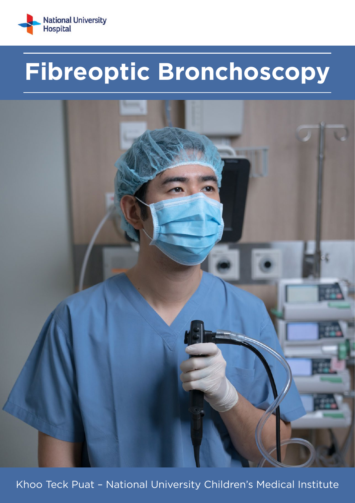

# Fibreoptic Bronchoscopy



Khoo Teck Puat - National University Children's Medical Institute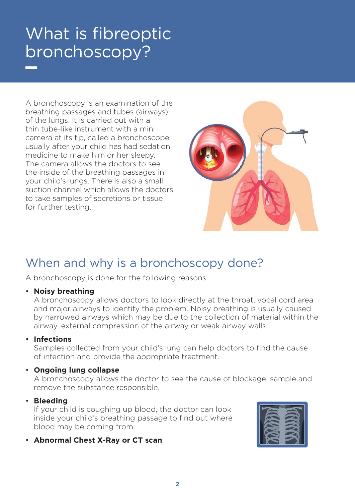## What is fibreoptic bronchoscopy?

A bronchoscopy is an examination of the breathing passages and tubes (airways) of the lungs. It is carried out with a thin tube-like instrument with a mini camera at its tip, called a bronchoscope, usually after your child has had sedation medicine to make him or her sleepy. The camera allows the doctors to see the inside of the breathing passages in your child's lungs. There is also a small suction channel which allows the doctors to take samples of secretions or tissue for further testing.



### When and why is a bronchoscopy done?

A bronchoscopy is done for the following reasons:

### • **Noisy breathing**

A bronchoscopy allows doctors to look directly at the throat, vocal cord area and major airways to identify the problem. Noisy breathing is usually caused by narrowed airways which may be due to the collection of material within the airway, external compression of the airway or weak airway walls.

### • **Infections**

Samples collected from your child's lung can help doctors to find the cause of infection and provide the appropriate treatment.

### • **Ongoing lung collapse**

A bronchoscopy allows the doctor to see the cause of blockage, sample and remove the substance responsible.

### • **Bleeding**

If your child is coughing up blood, the doctor can look inside your child's breathing passage to find out where blood may be coming from.

• **Abnormal Chest X-Ray or CT scan**

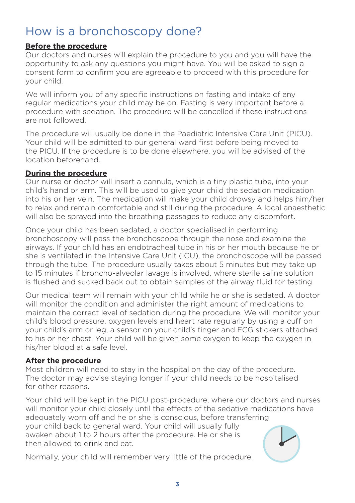### How is a bronchoscopy done?

### **Before the procedure**

Our doctors and nurses will explain the procedure to you and you will have the opportunity to ask any questions you might have. You will be asked to sign a consent form to confirm you are agreeable to proceed with this procedure for your child.

We will inform you of any specific instructions on fasting and intake of any regular medications your child may be on. Fasting is very important before a procedure with sedation. The procedure will be cancelled if these instructions are not followed.

The procedure will usually be done in the Paediatric Intensive Care Unit (PICU). Your child will be admitted to our general ward first before being moved to the PICU. If the procedure is to be done elsewhere, you will be advised of the location beforehand.

### **During the procedure**

Our nurse or doctor will insert a cannula, which is a tiny plastic tube, into your child's hand or arm. This will be used to give your child the sedation medication into his or her vein. The medication will make your child drowsy and helps him/her to relax and remain comfortable and still during the procedure. A local anaesthetic will also be sprayed into the breathing passages to reduce any discomfort.

Once your child has been sedated, a doctor specialised in performing bronchoscopy will pass the bronchoscope through the nose and examine the airways. If your child has an endotracheal tube in his or her mouth because he or she is ventilated in the Intensive Care Unit (ICU), the bronchoscope will be passed through the tube. The procedure usually takes about 5 minutes but may take up to 15 minutes if broncho-alveolar lavage is involved, where sterile saline solution is flushed and sucked back out to obtain samples of the airway fluid for testing.

Our medical team will remain with your child while he or she is sedated. A doctor will monitor the condition and administer the right amount of medications to maintain the correct level of sedation during the procedure. We will monitor your child's blood pressure, oxygen levels and heart rate regularly by using a cuff on your child's arm or leg, a sensor on your child's finger and ECG stickers attached to his or her chest. Your child will be given some oxygen to keep the oxygen in his/her blood at a safe level.

### **After the procedure**

Most children will need to stay in the hospital on the day of the procedure. The doctor may advise staying longer if your child needs to be hospitalised for other reasons.

Your child will be kept in the PICU post-procedure, where our doctors and nurses will monitor your child closely until the effects of the sedative medications have adequately worn off and he or she is conscious, before transferring your child back to general ward. Your child will usually fully awaken about 1 to 2 hours after the procedure. He or she is then allowed to drink and eat.

Normally, your child will remember very little of the procedure.

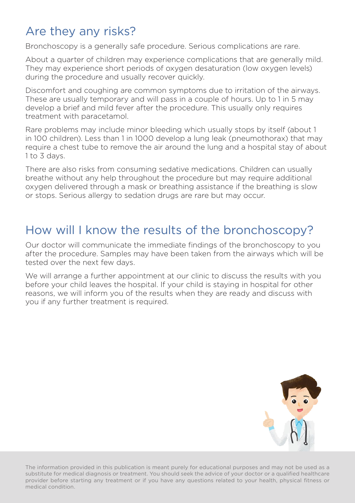### Are they any risks?

Bronchoscopy is a generally safe procedure. Serious complications are rare.

About a quarter of children may experience complications that are generally mild. They may experience short periods of oxygen desaturation (low oxygen levels) during the procedure and usually recover quickly.

Discomfort and coughing are common symptoms due to irritation of the airways. These are usually temporary and will pass in a couple of hours. Up to 1 in 5 may develop a brief and mild fever after the procedure. This usually only requires treatment with paracetamol.

Rare problems may include minor bleeding which usually stops by itself (about 1 in 100 children). Less than 1 in 1000 develop a lung leak (pneumothorax) that may require a chest tube to remove the air around the lung and a hospital stay of about 1 to 3 days.

There are also risks from consuming sedative medications. Children can usually breathe without any help throughout the procedure but may require additional oxygen delivered through a mask or breathing assistance if the breathing is slow or stops. Serious allergy to sedation drugs are rare but may occur.

### How will I know the results of the bronchoscopy?

Our doctor will communicate the immediate findings of the bronchoscopy to you after the procedure. Samples may have been taken from the airways which will be tested over the next few days.

We will arrange a further appointment at our clinic to discuss the results with you before your child leaves the hospital. If your child is staying in hospital for other reasons, we will inform you of the results when they are ready and discuss with you if any further treatment is required.



The information provided in this publication is meant purely for educational purposes and may not be used as a substitute for medical diagnosis or treatment. You should seek the advice of your doctor or a qualified healthcare provider before starting any treatment or if you have any questions related to your health, physical fitness or medical condition.